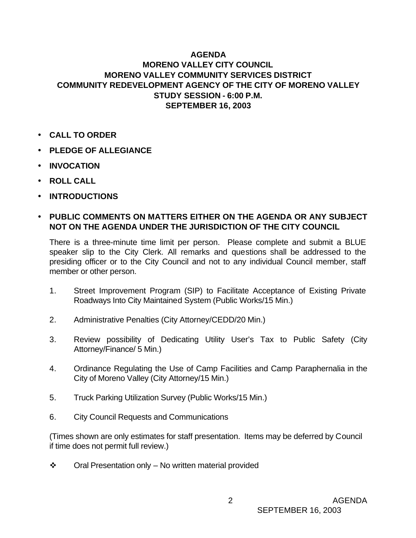## **AGENDA**

## **MORENO VALLEY CITY COUNCIL MORENO VALLEY COMMUNITY SERVICES DISTRICT COMMUNITY REDEVELOPMENT AGENCY OF THE CITY OF MORENO VALLEY STUDY SESSION - 6:00 P.M. SEPTEMBER 16, 2003**

- **CALL TO ORDER**
- **PLEDGE OF ALLEGIANCE**
- **INVOCATION**
- **ROLL CALL**
- **INTRODUCTIONS**

## • **PUBLIC COMMENTS ON MATTERS EITHER ON THE AGENDA OR ANY SUBJECT NOT ON THE AGENDA UNDER THE JURISDICTION OF THE CITY COUNCIL**

There is a three-minute time limit per person. Please complete and submit a BLUE speaker slip to the City Clerk. All remarks and questions shall be addressed to the presiding officer or to the City Council and not to any individual Council member, staff member or other person.

- 1. Street Improvement Program (SIP) to Facilitate Acceptance of Existing Private Roadways Into City Maintained System (Public Works/15 Min.)
- 2. Administrative Penalties (City Attorney/CEDD/20 Min.)
- 3. Review possibility of Dedicating Utility User's Tax to Public Safety (City Attorney/Finance/ 5 Min.)
- 4. Ordinance Regulating the Use of Camp Facilities and Camp Paraphernalia in the City of Moreno Valley (City Attorney/15 Min.)
- 5. Truck Parking Utilization Survey (Public Works/15 Min.)
- 6. City Council Requests and Communications

(Times shown are only estimates for staff presentation. Items may be deferred by Council if time does not permit full review.)

 $\div$  Oral Presentation only – No written material provided